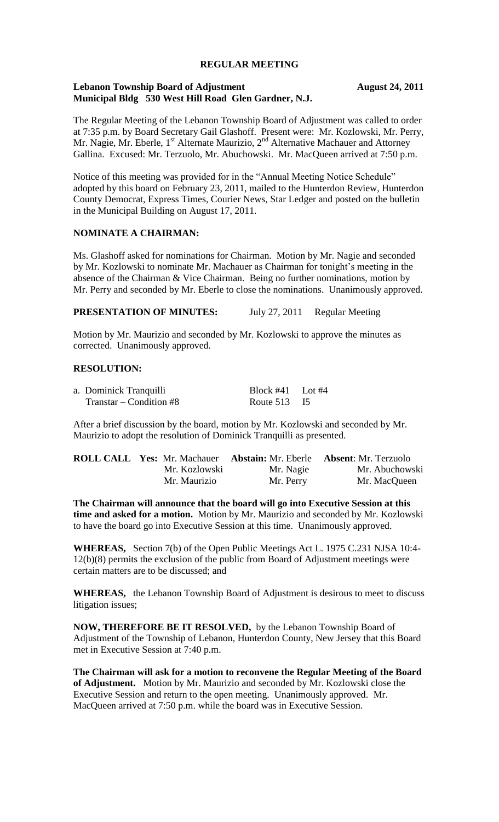### **REGULAR MEETING**

### Lebanon Township Board of Adjustment **August 24, 2011 Municipal Bldg 530 West Hill Road Glen Gardner, N.J.**

The Regular Meeting of the Lebanon Township Board of Adjustment was called to order at 7:35 p.m. by Board Secretary Gail Glashoff. Present were: Mr. Kozlowski, Mr. Perry, Mr. Nagie, Mr. Eberle, 1<sup>st</sup> Alternate Maurizio, 2<sup>nd</sup> Alternative Machauer and Attorney Gallina. Excused: Mr. Terzuolo, Mr. Abuchowski. Mr. MacQueen arrived at 7:50 p.m.

Notice of this meeting was provided for in the "Annual Meeting Notice Schedule" adopted by this board on February 23, 2011, mailed to the Hunterdon Review, Hunterdon County Democrat, Express Times, Courier News, Star Ledger and posted on the bulletin in the Municipal Building on August 17, 2011.

### **NOMINATE A CHAIRMAN:**

Ms. Glashoff asked for nominations for Chairman. Motion by Mr. Nagie and seconded by Mr. Kozlowski to nominate Mr. Machauer as Chairman for tonight's meeting in the absence of the Chairman & Vice Chairman. Being no further nominations, motion by Mr. Perry and seconded by Mr. Eberle to close the nominations. Unanimously approved.

**PRESENTATION OF MINUTES:** July 27, 2011 Regular Meeting

Motion by Mr. Maurizio and seconded by Mr. Kozlowski to approve the minutes as corrected. Unanimously approved.

# **RESOLUTION:**

| a. Dominick Tranquilli     | Block #41 Lot #4 |  |
|----------------------------|------------------|--|
| $Transtar - Condition \#8$ | Route 513 I5     |  |

After a brief discussion by the board, motion by Mr. Kozlowski and seconded by Mr. Maurizio to adopt the resolution of Dominick Tranquilli as presented.

|               |           | <b>ROLL CALL Yes: Mr. Machauer Abstain: Mr. Eberle Absent: Mr. Terzuolo</b> |
|---------------|-----------|-----------------------------------------------------------------------------|
| Mr. Kozlowski | Mr. Nagie | Mr. Abuchowski                                                              |
| Mr. Maurizio  | Mr. Perry | Mr. MacQueen                                                                |

**The Chairman will announce that the board will go into Executive Session at this time and asked for a motion.** Motion by Mr. Maurizio and seconded by Mr. Kozlowski to have the board go into Executive Session at this time. Unanimously approved.

**WHEREAS,** Section 7(b) of the Open Public Meetings Act L. 1975 C.231 NJSA 10:4- 12(b)(8) permits the exclusion of the public from Board of Adjustment meetings were certain matters are to be discussed; and

**WHEREAS,** the Lebanon Township Board of Adjustment is desirous to meet to discuss litigation issues;

**NOW, THEREFORE BE IT RESOLVED,** by the Lebanon Township Board of Adjustment of the Township of Lebanon, Hunterdon County, New Jersey that this Board met in Executive Session at 7:40 p.m.

**The Chairman will ask for a motion to reconvene the Regular Meeting of the Board of Adjustment.** Motion by Mr. Maurizio and seconded by Mr. Kozlowski close the Executive Session and return to the open meeting. Unanimously approved. Mr. MacQueen arrived at 7:50 p.m. while the board was in Executive Session.